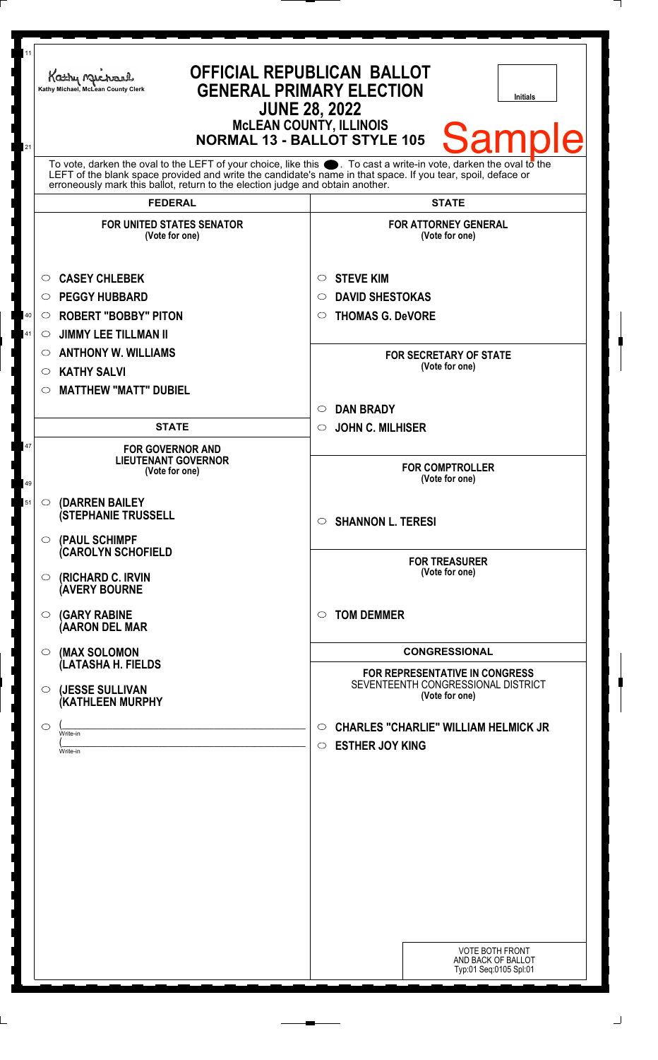| 11                                                                                  | Kathy Michael                                                                                                                                                                                                                                                                                                          | <b>OFFICIAL REPUBLICAN BALLOT</b>                                                      |
|-------------------------------------------------------------------------------------|------------------------------------------------------------------------------------------------------------------------------------------------------------------------------------------------------------------------------------------------------------------------------------------------------------------------|----------------------------------------------------------------------------------------|
|                                                                                     | Kathy Michael, McLean County Clerk                                                                                                                                                                                                                                                                                     | <b>GENERAL PRIMARY ELECTION</b><br><b>Initials</b><br><b>JUNE 28, 2022</b>             |
| <b>McLEAN COUNTY, ILLINOIS</b><br>Samp<br><b>NORMAL 13 - BALLOT STYLE 105</b><br>21 |                                                                                                                                                                                                                                                                                                                        |                                                                                        |
|                                                                                     | To vote, darken the oval to the LEFT of your choice, like this $\bullet$ . To cast a write-in vote, darken the oval to the LEFT of the blank space provided and write the candidate's name in that space. If you tear, spoil, deface<br>erroneously mark this ballot, return to the election judge and obtain another. |                                                                                        |
|                                                                                     | <b>FEDERAL</b>                                                                                                                                                                                                                                                                                                         | <b>STATE</b>                                                                           |
|                                                                                     | <b>FOR UNITED STATES SENATOR</b><br>(Vote for one)                                                                                                                                                                                                                                                                     | <b>FOR ATTORNEY GENERAL</b><br>(Vote for one)                                          |
|                                                                                     | <b>CASEY CHLEBEK</b><br>$\circ$                                                                                                                                                                                                                                                                                        | <b>STEVE KIM</b><br>O                                                                  |
|                                                                                     | <b>PEGGY HUBBARD</b><br>◯                                                                                                                                                                                                                                                                                              | <b>DAVID SHESTOKAS</b><br>$\circ$                                                      |
| 40                                                                                  | <b>ROBERT "BOBBY" PITON</b><br>$\circ$                                                                                                                                                                                                                                                                                 | <b>THOMAS G. DeVORE</b><br>$\circ$                                                     |
| 41                                                                                  | <b>JIMMY LEE TILLMAN II</b><br>$\circ$                                                                                                                                                                                                                                                                                 |                                                                                        |
|                                                                                     | <b>ANTHONY W. WILLIAMS</b><br>$\circ$                                                                                                                                                                                                                                                                                  | <b>FOR SECRETARY OF STATE</b>                                                          |
|                                                                                     | <b>KATHY SALVI</b><br>$\circ$                                                                                                                                                                                                                                                                                          | (Vote for one)                                                                         |
|                                                                                     | <b>MATTHEW "MATT" DUBIEL</b><br>$\circlearrowright$                                                                                                                                                                                                                                                                    |                                                                                        |
|                                                                                     |                                                                                                                                                                                                                                                                                                                        | <b>DAN BRADY</b><br>$\circlearrowright$                                                |
|                                                                                     | <b>STATE</b>                                                                                                                                                                                                                                                                                                           | <b>JOHN C. MILHISER</b><br>$\circ$                                                     |
| 47<br>49                                                                            | <b>FOR GOVERNOR AND</b><br><b>LIEUTENANT GOVERNOR</b><br>(Vote for one)                                                                                                                                                                                                                                                | <b>FOR COMPTROLLER</b><br>(Vote for one)                                               |
| 51                                                                                  |                                                                                                                                                                                                                                                                                                                        |                                                                                        |
|                                                                                     | (DARREN BAILEY<br>$\circ$<br><b>(STEPHANIE TRUSSELL</b>                                                                                                                                                                                                                                                                | $\circ$ SHANNON L. TERESI                                                              |
|                                                                                     | (PAUL SCHIMPF<br>$\circ$<br><b>CAROLYN SCHOFIELD</b>                                                                                                                                                                                                                                                                   |                                                                                        |
|                                                                                     | (RICHARD C. IRVIN<br>$\circ$<br><b>(AVERY BOURNE</b>                                                                                                                                                                                                                                                                   | <b>FOR TREASURER</b><br>(Vote for one)                                                 |
|                                                                                     | <b>(GARY RABINE</b><br>$\circ$<br>(AARON DEL MAR                                                                                                                                                                                                                                                                       | <b>TOM DEMMER</b><br>$\circ$                                                           |
|                                                                                     | (MAX SOLOMON<br>$\circ$                                                                                                                                                                                                                                                                                                | <b>CONGRESSIONAL</b>                                                                   |
|                                                                                     | (LATASHA H. FIELDS<br>(JESSE SULLIVAN<br>O                                                                                                                                                                                                                                                                             | FOR REPRESENTATIVE IN CONGRESS<br>SEVENTEENTH CONGRESSIONAL DISTRICT<br>(Vote for one) |
|                                                                                     | <b>(KATHLEEN MURPHY</b>                                                                                                                                                                                                                                                                                                |                                                                                        |
|                                                                                     | $\circ$<br>Write-in                                                                                                                                                                                                                                                                                                    | <b>CHARLES "CHARLIE" WILLIAM HELMICK JR</b><br>$\circ$                                 |
|                                                                                     | Write-in                                                                                                                                                                                                                                                                                                               | <b>ESTHER JOY KING</b><br>$\circ$                                                      |
|                                                                                     |                                                                                                                                                                                                                                                                                                                        |                                                                                        |
|                                                                                     |                                                                                                                                                                                                                                                                                                                        |                                                                                        |
|                                                                                     |                                                                                                                                                                                                                                                                                                                        |                                                                                        |
|                                                                                     |                                                                                                                                                                                                                                                                                                                        |                                                                                        |
|                                                                                     |                                                                                                                                                                                                                                                                                                                        |                                                                                        |
|                                                                                     |                                                                                                                                                                                                                                                                                                                        |                                                                                        |
|                                                                                     |                                                                                                                                                                                                                                                                                                                        |                                                                                        |
|                                                                                     |                                                                                                                                                                                                                                                                                                                        |                                                                                        |
|                                                                                     |                                                                                                                                                                                                                                                                                                                        |                                                                                        |
|                                                                                     |                                                                                                                                                                                                                                                                                                                        | <b>VOTE BOTH FRONT</b><br>AND BACK OF BALLOT                                           |
|                                                                                     |                                                                                                                                                                                                                                                                                                                        | Typ:01 Seq:0105 Spl:01                                                                 |
|                                                                                     |                                                                                                                                                                                                                                                                                                                        |                                                                                        |

 $\perp$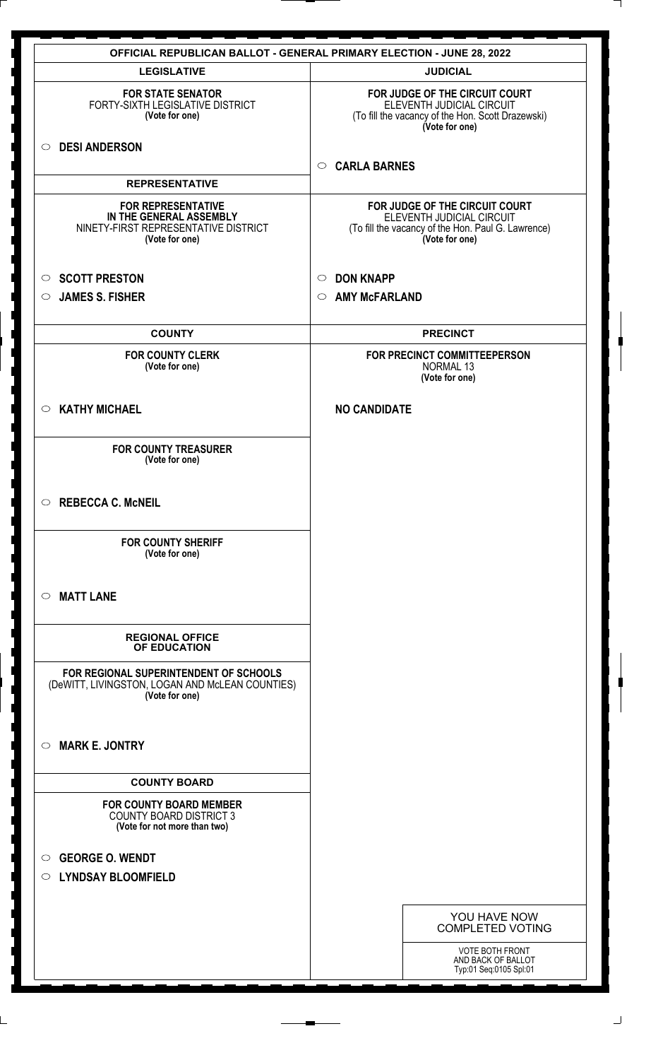|                                                                                                                | <b>OFFICIAL REPUBLICAN BALLOT - GENERAL PRIMARY ELECTION - JUNE 28, 2022</b>                                                        |
|----------------------------------------------------------------------------------------------------------------|-------------------------------------------------------------------------------------------------------------------------------------|
| <b>LEGISLATIVE</b>                                                                                             | <b>JUDICIAL</b>                                                                                                                     |
| <b>FOR STATE SENATOR</b><br>FORTY-SIXTH LEGISLATIVE DISTRICT<br>(Vote for one)                                 | FOR JUDGE OF THE CIRCUIT COURT<br>ELEVENTH JUDICIAL CIRCUIT<br>(To fill the vacancy of the Hon. Scott Drazewski)<br>(Vote for one)  |
| <b>DESI ANDERSON</b><br>$\circ$                                                                                | <b>CARLA BARNES</b><br>$\circ$                                                                                                      |
| <b>REPRESENTATIVE</b>                                                                                          |                                                                                                                                     |
| <b>FOR REPRESENTATIVE</b><br>IN THE GENERAL ASSEMBLY<br>NINETY-FIRST REPRESENTATIVE DISTRICT<br>(Vote for one) | FOR JUDGE OF THE CIRCUIT COURT<br>ELEVENTH JUDICIAL CIRCUIT<br>(To fill the vacancy of the Hon. Paul G. Lawrence)<br>(Vote for one) |
| <b>SCOTT PRESTON</b><br>$\circ$                                                                                | <b>DON KNAPP</b><br>$\circ$                                                                                                         |
| <b>JAMES S. FISHER</b><br>◯                                                                                    | <b>AMY McFARLAND</b><br>$\circ$                                                                                                     |
| <b>COUNTY</b>                                                                                                  | <b>PRECINCT</b>                                                                                                                     |
| <b>FOR COUNTY CLERK</b><br>(Vote for one)                                                                      | FOR PRECINCT COMMITTEEPERSON<br>NORMAL 13<br>(Vote for one)                                                                         |
| <b>KATHY MICHAEL</b><br>$\circ$                                                                                | <b>NO CANDIDATE</b>                                                                                                                 |
| <b>FOR COUNTY TREASURER</b><br>(Vote for one)                                                                  |                                                                                                                                     |
| <b>REBECCA C. McNEIL</b><br>$\circ$                                                                            |                                                                                                                                     |
| <b>FOR COUNTY SHERIFF</b><br>(Vote for one)                                                                    |                                                                                                                                     |
| <b>MATT LANE</b><br>$\bigcirc$                                                                                 |                                                                                                                                     |
| <b>REGIONAL OFFICE</b><br>OF EDUCATION                                                                         |                                                                                                                                     |
| FOR REGIONAL SUPERINTENDENT OF SCHOOLS<br>(DeWITT, LIVINGSTON, LOGAN AND McLEAN COUNTIES)<br>(Vote for one)    |                                                                                                                                     |
| <b>MARK E. JONTRY</b><br>$\bigcirc$                                                                            |                                                                                                                                     |
| <b>COUNTY BOARD</b>                                                                                            |                                                                                                                                     |
| <b>FOR COUNTY BOARD MEMBER</b><br><b>COUNTY BOARD DISTRICT 3</b><br>(Vote for not more than two)               |                                                                                                                                     |
| <b>GEORGE O. WENDT</b><br>$\circ$<br>○ LYNDSAY BLOOMFIELD                                                      |                                                                                                                                     |
|                                                                                                                | YOU HAVE NOW<br><b>COMPLETED VOTING</b>                                                                                             |
|                                                                                                                | <b>VOTE BOTH FRONT</b><br>AND BACK OF BALLOT<br>Typ:01 Seq:0105 Spl:01                                                              |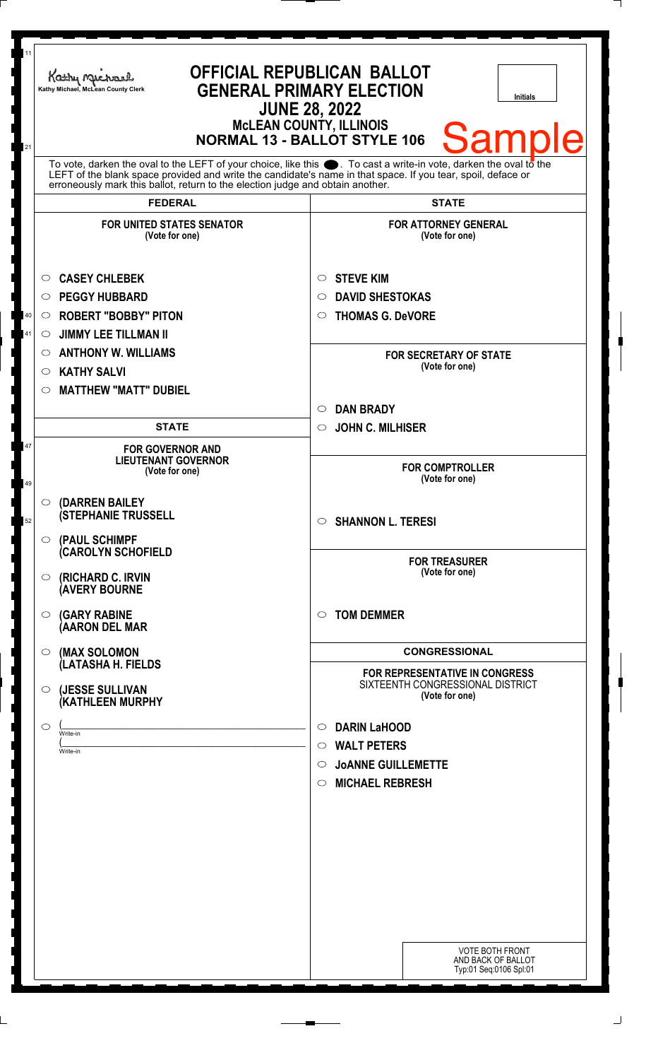| 11<br>21 | <b>OFFICIAL REPUBLICAN BALLOT</b><br>Kathy Michael<br><b>GENERAL PRIMARY ELECTION</b><br>Kathy Michael, McLean County Clerk<br><b>Initials</b><br><b>JUNE 28, 2022</b><br><b>MCLEAN COUNTY, ILLINOIS</b><br><b>Samp</b><br><b>NORMAL 13 - BALLOT STYLE 106</b>                                                         |                                                                                      |
|----------|------------------------------------------------------------------------------------------------------------------------------------------------------------------------------------------------------------------------------------------------------------------------------------------------------------------------|--------------------------------------------------------------------------------------|
|          | To vote, darken the oval to the LEFT of your choice, like this $\bullet$ . To cast a write-in vote, darken the oval to the LEFT of the blank space provided and write the candidate's name in that space. If you tear, spoil, deface<br>erroneously mark this ballot, return to the election judge and obtain another. |                                                                                      |
|          | <b>FEDERAL</b>                                                                                                                                                                                                                                                                                                         | <b>STATE</b>                                                                         |
|          | <b>FOR UNITED STATES SENATOR</b><br>(Vote for one)                                                                                                                                                                                                                                                                     | <b>FOR ATTORNEY GENERAL</b><br>(Vote for one)                                        |
|          | <b>CASEY CHLEBEK</b><br>O                                                                                                                                                                                                                                                                                              | <b>STEVE KIM</b><br>O                                                                |
|          | <b>PEGGY HUBBARD</b><br>◯                                                                                                                                                                                                                                                                                              | <b>DAVID SHESTOKAS</b><br>$\circ$                                                    |
| 40       | <b>ROBERT "BOBBY" PITON</b><br>$\circ$                                                                                                                                                                                                                                                                                 | <b>THOMAS G. DeVORE</b><br>$\circ$                                                   |
| 41       | <b>JIMMY LEE TILLMAN II</b><br>$\circ$                                                                                                                                                                                                                                                                                 |                                                                                      |
|          | <b>ANTHONY W. WILLIAMS</b><br>$\circ$                                                                                                                                                                                                                                                                                  | <b>FOR SECRETARY OF STATE</b>                                                        |
|          | <b>KATHY SALVI</b><br>$\circ$                                                                                                                                                                                                                                                                                          | (Vote for one)                                                                       |
|          | <b>MATTHEW "MATT" DUBIEL</b><br>$\circlearrowright$                                                                                                                                                                                                                                                                    |                                                                                      |
|          |                                                                                                                                                                                                                                                                                                                        | <b>DAN BRADY</b><br>$\circlearrowright$                                              |
|          | <b>STATE</b>                                                                                                                                                                                                                                                                                                           | <b>JOHN C. MILHISER</b><br>$\circ$                                                   |
| 47<br>49 | <b>FOR GOVERNOR AND</b><br><b>LIEUTENANT GOVERNOR</b><br>(Vote for one)                                                                                                                                                                                                                                                | <b>FOR COMPTROLLER</b><br>(Vote for one)                                             |
| 52       | (DARREN BAILEY<br>$\bigcirc$<br><b>(STEPHANIE TRUSSELL</b>                                                                                                                                                                                                                                                             | $\circ$ SHANNON L. TERESI                                                            |
|          | (PAUL SCHIMPF<br>$\bigcirc$<br><b>(CAROLYN SCHOFIELD</b><br>(RICHARD C. IRVIN<br>$\circ$<br><b>(AVERY BOURNE</b>                                                                                                                                                                                                       | <b>FOR TREASURER</b><br>(Vote for one)                                               |
|          | <b>(GARY RABINE</b><br>$\circ$<br>(AARON DEL MAR                                                                                                                                                                                                                                                                       | <b>TOM DEMMER</b><br>$\circ$                                                         |
|          | (MAX SOLOMON<br>$\circ$                                                                                                                                                                                                                                                                                                | <b>CONGRESSIONAL</b>                                                                 |
|          | (LATASHA H. FIELDS<br>(JESSE SULLIVAN<br>$\circ$<br>(KATHLEEN MURPHY                                                                                                                                                                                                                                                   | FOR REPRESENTATIVE IN CONGRESS<br>SIXTEENTH CONGRESSIONAL DISTRICT<br>(Vote for one) |
|          |                                                                                                                                                                                                                                                                                                                        |                                                                                      |
|          | $\circ$<br>Write-in                                                                                                                                                                                                                                                                                                    | <b>DARIN LaHOOD</b><br>O<br><b>WALT PETERS</b><br>$\circ$                            |
|          | Write-in                                                                                                                                                                                                                                                                                                               | <b>JOANNE GUILLEMETTE</b><br>$\circ$                                                 |
|          |                                                                                                                                                                                                                                                                                                                        | <b>MICHAEL REBRESH</b><br>$\circ$                                                    |
|          |                                                                                                                                                                                                                                                                                                                        |                                                                                      |
|          |                                                                                                                                                                                                                                                                                                                        |                                                                                      |
|          |                                                                                                                                                                                                                                                                                                                        |                                                                                      |
|          |                                                                                                                                                                                                                                                                                                                        |                                                                                      |
|          |                                                                                                                                                                                                                                                                                                                        |                                                                                      |
|          |                                                                                                                                                                                                                                                                                                                        |                                                                                      |
|          |                                                                                                                                                                                                                                                                                                                        |                                                                                      |
|          |                                                                                                                                                                                                                                                                                                                        |                                                                                      |
|          |                                                                                                                                                                                                                                                                                                                        | <b>VOTE BOTH FRONT</b><br>AND BACK OF BALLOT<br>Typ:01 Seq:0106 Spl:01               |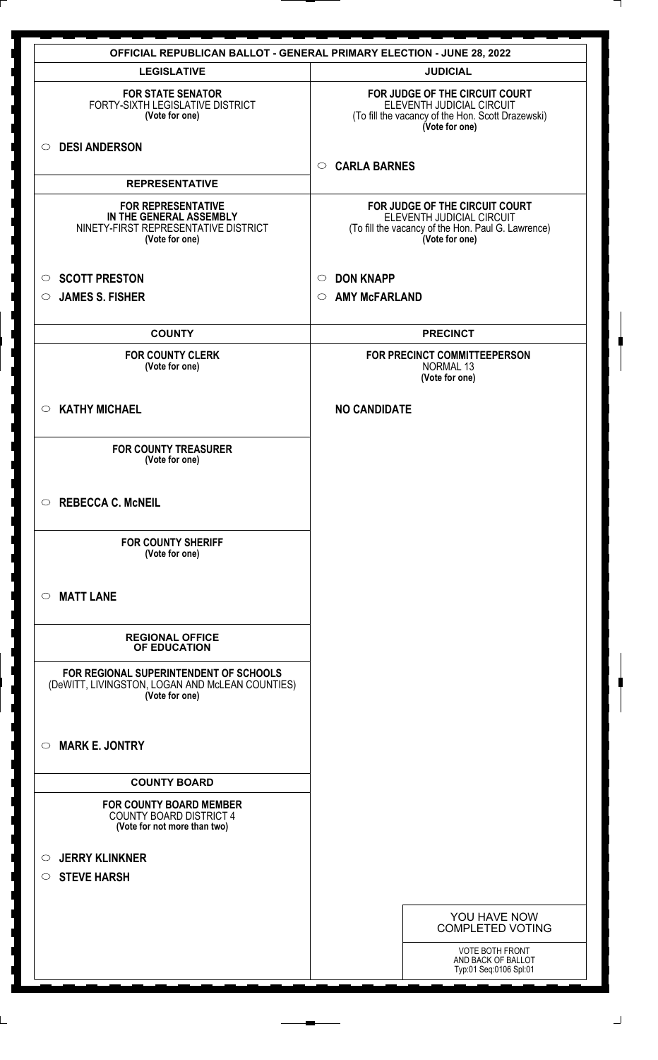|                                                                                                                | <b>OFFICIAL REPUBLICAN BALLOT - GENERAL PRIMARY ELECTION - JUNE 28, 2022</b>                                                        |
|----------------------------------------------------------------------------------------------------------------|-------------------------------------------------------------------------------------------------------------------------------------|
| <b>LEGISLATIVE</b>                                                                                             | <b>JUDICIAL</b>                                                                                                                     |
| <b>FOR STATE SENATOR</b><br>FORTY-SIXTH LEGISLATIVE DISTRICT<br>(Vote for one)                                 | FOR JUDGE OF THE CIRCUIT COURT<br>ELEVENTH JUDICIAL CIRCUIT<br>(To fill the vacancy of the Hon. Scott Drazewski)<br>(Vote for one)  |
| <b>DESI ANDERSON</b><br>$\circ$                                                                                | <b>CARLA BARNES</b><br>$\circ$                                                                                                      |
| <b>REPRESENTATIVE</b>                                                                                          |                                                                                                                                     |
| <b>FOR REPRESENTATIVE</b><br>IN THE GENERAL ASSEMBLY<br>NINETY-FIRST REPRESENTATIVE DISTRICT<br>(Vote for one) | FOR JUDGE OF THE CIRCUIT COURT<br>ELEVENTH JUDICIAL CIRCUIT<br>(To fill the vacancy of the Hon. Paul G. Lawrence)<br>(Vote for one) |
| <b>SCOTT PRESTON</b><br>$\circ$                                                                                | <b>DON KNAPP</b><br>$\circ$                                                                                                         |
| <b>JAMES S. FISHER</b><br>$\circ$                                                                              | <b>AMY McFARLAND</b><br>$\circ$                                                                                                     |
| <b>COUNTY</b>                                                                                                  | <b>PRECINCT</b>                                                                                                                     |
| <b>FOR COUNTY CLERK</b><br>(Vote for one)                                                                      | FOR PRECINCT COMMITTEEPERSON<br><b>NORMAL 13</b><br>(Vote for one)                                                                  |
| <b>KATHY MICHAEL</b><br>$\circ$                                                                                | <b>NO CANDIDATE</b>                                                                                                                 |
| <b>FOR COUNTY TREASURER</b><br>(Vote for one)                                                                  |                                                                                                                                     |
| <b>REBECCA C. McNEIL</b><br>$\circ$                                                                            |                                                                                                                                     |
| <b>FOR COUNTY SHERIFF</b><br>(Vote for one)                                                                    |                                                                                                                                     |
| <b>MATT LANE</b><br>$\bigcirc$                                                                                 |                                                                                                                                     |
| <b>REGIONAL OFFICE</b><br>OF EDUCATION                                                                         |                                                                                                                                     |
| FOR REGIONAL SUPERINTENDENT OF SCHOOLS<br>(DeWITT, LIVINGSTON, LOGAN AND McLEAN COUNTIES)<br>(Vote for one)    |                                                                                                                                     |
| <b>MARK E. JONTRY</b><br>$\circ$                                                                               |                                                                                                                                     |
| <b>COUNTY BOARD</b>                                                                                            |                                                                                                                                     |
| <b>FOR COUNTY BOARD MEMBER</b><br><b>COUNTY BOARD DISTRICT 4</b><br>(Vote for not more than two)               |                                                                                                                                     |
| <b>JERRY KLINKNER</b><br>$\circ$                                                                               |                                                                                                                                     |
| <b>STEVE HARSH</b><br>$\circ$                                                                                  |                                                                                                                                     |
|                                                                                                                | YOU HAVE NOW<br><b>COMPLETED VOTING</b>                                                                                             |
|                                                                                                                | <b>VOTE BOTH FRONT</b><br>AND BACK OF BALLOT<br>Typ:01 Seq:0106 Spl:01                                                              |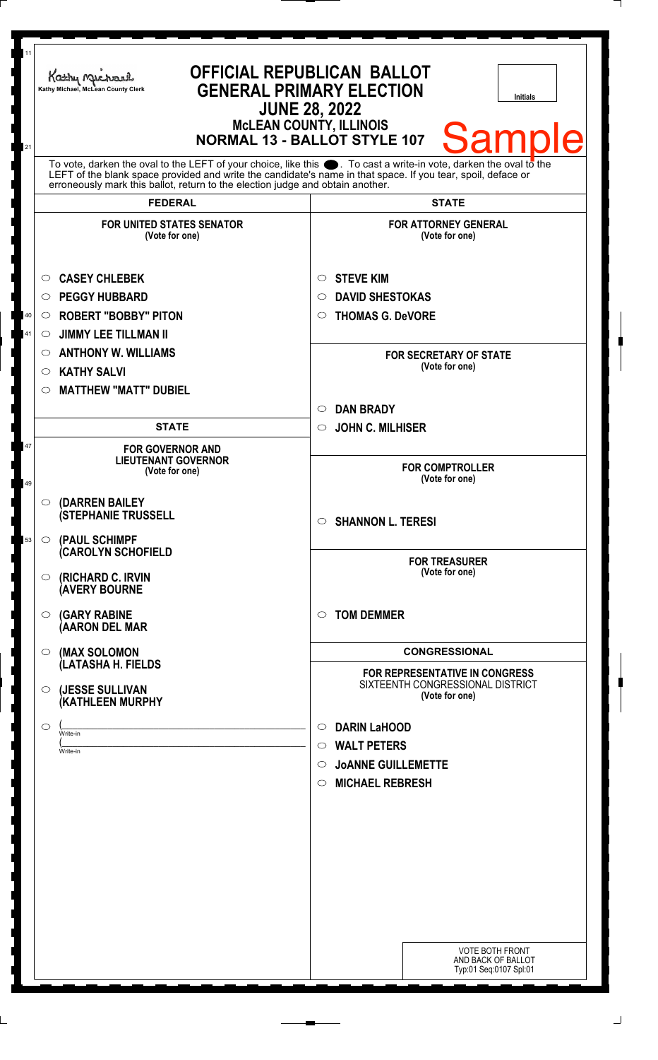| 11<br>21                                                                                                                                                                                                                                                                                                               | <b>OFFICIAL REPUBLICAN BALLOT</b><br>Kathy Michael<br><b>GENERAL PRIMARY ELECTION</b><br>Kathy Michael, McLean County Clerk<br><b>Initials</b><br><b>JUNE 28, 2022</b><br><b>McLEAN COUNTY, ILLINOIS</b><br><b>Samp</b><br><b>NORMAL 13 - BALLOT STYLE 107</b> |                                                                                                        |
|------------------------------------------------------------------------------------------------------------------------------------------------------------------------------------------------------------------------------------------------------------------------------------------------------------------------|----------------------------------------------------------------------------------------------------------------------------------------------------------------------------------------------------------------------------------------------------------------|--------------------------------------------------------------------------------------------------------|
| To vote, darken the oval to the LEFT of your choice, like this $\bullet$ . To cast a write-in vote, darken the oval to the LEFT of the blank space provided and write the candidate's name in that space. If you tear, spoil, deface<br>erroneously mark this ballot, return to the election judge and obtain another. |                                                                                                                                                                                                                                                                |                                                                                                        |
|                                                                                                                                                                                                                                                                                                                        | <b>FEDERAL</b><br><b>FOR UNITED STATES SENATOR</b><br>(Vote for one)                                                                                                                                                                                           | <b>STATE</b><br><b>FOR ATTORNEY GENERAL</b><br>(Vote for one)                                          |
| 40<br>41                                                                                                                                                                                                                                                                                                               | <b>CASEY CHLEBEK</b><br>$\circ$<br><b>PEGGY HUBBARD</b><br>$\circ$<br><b>ROBERT "BOBBY" PITON</b><br>$\circ$<br><b>JIMMY LEE TILLMAN II</b><br>O                                                                                                               | <b>STEVE KIM</b><br>$\circ$<br><b>DAVID SHESTOKAS</b><br>$\circ$<br><b>THOMAS G. DeVORE</b><br>$\circ$ |
|                                                                                                                                                                                                                                                                                                                        | <b>ANTHONY W. WILLIAMS</b><br>$\circ$<br><b>KATHY SALVI</b><br>$\circ$                                                                                                                                                                                         | <b>FOR SECRETARY OF STATE</b><br>(Vote for one)                                                        |
|                                                                                                                                                                                                                                                                                                                        | <b>MATTHEW "MATT" DUBIEL</b><br>$\circ$<br><b>STATE</b>                                                                                                                                                                                                        | <b>DAN BRADY</b><br>$\circ$<br><b>JOHN C. MILHISER</b><br>$\circ$                                      |
| 47<br>49                                                                                                                                                                                                                                                                                                               | <b>FOR GOVERNOR AND</b><br><b>LIEUTENANT GOVERNOR</b><br>(Vote for one)                                                                                                                                                                                        | <b>FOR COMPTROLLER</b><br>(Vote for one)                                                               |
| 53                                                                                                                                                                                                                                                                                                                     | <b>(DARREN BAILEY)</b><br>$\circ$<br><b>(STEPHANIE TRUSSELL</b><br>(PAUL SCHIMPF<br>$\circ$                                                                                                                                                                    | $\circ$ SHANNON L. TERESI                                                                              |
|                                                                                                                                                                                                                                                                                                                        | <b>(CAROLYN SCHOFIELD</b><br>(RICHARD C. IRVIN<br>$\circ$<br><b>(AVERY BOURNE</b>                                                                                                                                                                              | <b>FOR TREASURER</b><br>(Vote for one)                                                                 |
|                                                                                                                                                                                                                                                                                                                        | <b>(GARY RABINE</b><br>$\circ$<br>(AARON DEL MAR                                                                                                                                                                                                               | <b>TOM DEMMER</b><br>$\bigcirc$                                                                        |
|                                                                                                                                                                                                                                                                                                                        | (MAX SOLOMON<br>$\circ$<br>(LATASHA H. FIELDS                                                                                                                                                                                                                  | <b>CONGRESSIONAL</b><br>FOR REPRESENTATIVE IN CONGRESS<br>SIXTEENTH CONGRESSIONAL DISTRICT             |
|                                                                                                                                                                                                                                                                                                                        | (JESSE SULLIVAN<br>$\circ$<br>(KATHLEEN MURPHY<br>$\circ$                                                                                                                                                                                                      | (Vote for one)<br><b>DARIN LaHOOD</b><br>$\circ$                                                       |
|                                                                                                                                                                                                                                                                                                                        | Write-in<br>Write-in                                                                                                                                                                                                                                           | $\circ$ WALT PETERS<br>$\circ$ JOANNE GUILLEMETTE<br><b>MICHAEL REBRESH</b><br>$\circ$                 |
|                                                                                                                                                                                                                                                                                                                        |                                                                                                                                                                                                                                                                | <b>VOTE BOTH FRONT</b><br>AND BACK OF BALLOT<br>Typ:01 Seq:0107 Spl:01                                 |